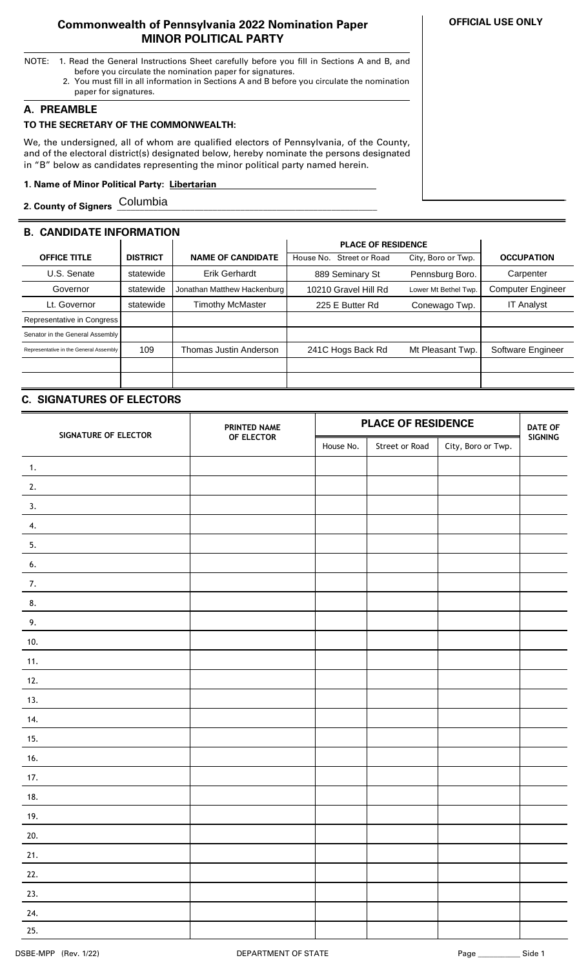### **Commonwealth of Pennsylvania 2022 Nomination Paper MINOR POLITICAL PARTY**

- NOTE: 1. Read the General Instructions Sheet carefully before you fill in Sections A and B, and before you circulate the nomination paper for signatures.
	- 2. You must fill in all information in Sections A and B before you circulate the nomination paper for signatures.

### **A. PREAMBLE**

# **TO THE SECRETARY OF THE COMMONWEALTH:**

We, the undersigned, all of whom are qualified electors of Pennsylvania, of the County, and of the electoral district(s) designated below, hereby nominate the persons designated in "B" below as candidates representing the minor political party named herein.

### **1. Name of Minor Political Party: Libertarian ..**

**2. County of Signers \_\_\_\_\_\_\_\_\_\_\_\_\_\_\_\_\_\_\_\_\_\_\_\_\_\_\_\_\_\_\_\_\_\_\_\_\_\_\_\_\_\_\_\_\_\_\_\_\_\_\_\_\_\_\_\_\_** Columbia

# **B. CANDIDATE INFORMATION**

|                                        |                 |                             | <b>PLACE OF RESIDENCE</b>   |                      |                          |
|----------------------------------------|-----------------|-----------------------------|-----------------------------|----------------------|--------------------------|
| <b>OFFICE TITLE</b>                    | <b>DISTRICT</b> | <b>NAME OF CANDIDATE</b>    | Street or Road<br>House No. | City, Boro or Twp.   | <b>OCCUPATION</b>        |
| U.S. Senate                            | statewide       | <b>Erik Gerhardt</b>        | 889 Seminary St             | Pennsburg Boro.      | Carpenter                |
| Governor                               | statewide       | Jonathan Matthew Hackenburg | 10210 Gravel Hill Rd        | Lower Mt Bethel Twp. | <b>Computer Engineer</b> |
| Lt. Governor                           | statewide       | <b>Timothy McMaster</b>     | 225 E Butter Rd             | Conewago Twp.        | <b>IT Analyst</b>        |
| Representative in Congress             |                 |                             |                             |                      |                          |
| Senator in the General Assembly        |                 |                             |                             |                      |                          |
| Representative in the General Assembly | 109             | Thomas Justin Anderson      | 241C Hogs Back Rd           | Mt Pleasant Twp.     | Software Engineer        |
|                                        |                 |                             |                             |                      |                          |
|                                        |                 |                             |                             |                      |                          |

## **C. SIGNATURES OF ELECTORS**

| SIGNATURE OF ELECTOR | PRINTED NAME | <b>PLACE OF RESIDENCE</b> |                |                    | <b>DATE OF</b> |
|----------------------|--------------|---------------------------|----------------|--------------------|----------------|
|                      | OF ELECTOR   | House No.                 | Street or Road | City, Boro or Twp. | SIGNING        |
| 1.                   |              |                           |                |                    |                |
| 2.                   |              |                           |                |                    |                |
| 3.                   |              |                           |                |                    |                |
| 4.                   |              |                           |                |                    |                |
| 5.                   |              |                           |                |                    |                |
| 6.                   |              |                           |                |                    |                |
| 7.                   |              |                           |                |                    |                |
| 8.                   |              |                           |                |                    |                |
| 9.                   |              |                           |                |                    |                |
| 10.                  |              |                           |                |                    |                |
| 11.                  |              |                           |                |                    |                |
| 12.                  |              |                           |                |                    |                |
| 13.                  |              |                           |                |                    |                |
| 14.                  |              |                           |                |                    |                |
| 15.                  |              |                           |                |                    |                |
| 16.                  |              |                           |                |                    |                |
| 17.                  |              |                           |                |                    |                |
| 18.                  |              |                           |                |                    |                |
| 19.                  |              |                           |                |                    |                |
| 20.                  |              |                           |                |                    |                |
| 21.                  |              |                           |                |                    |                |
| 22.                  |              |                           |                |                    |                |
| 23.                  |              |                           |                |                    |                |
| 24.                  |              |                           |                |                    |                |
| 25.                  |              |                           |                |                    |                |